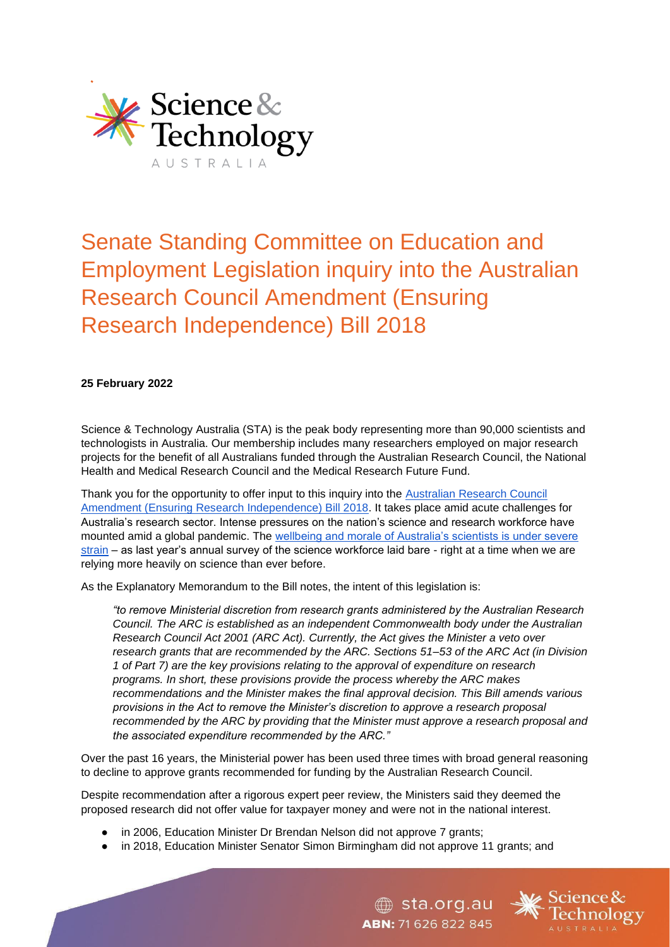

# Senate Standing Committee on Education and Employment Legislation inquiry into the Australian Research Council Amendment (Ensuring Research Independence) Bill 2018

## **25 February 2022**

Science & Technology Australia (STA) is the peak body representing more than 90,000 scientists and technologists in Australia. Our membership includes many researchers employed on major research projects for the benefit of all Australians funded through the Australian Research Council, the National Health and Medical Research Council and the Medical Research Future Fund.

Thank you for the opportunity to offer input to this inquiry into the Australian Research Council [Amendment \(Ensuring Research Independence\) Bill 2018.](https://www.aph.gov.au/Parliamentary_Business/Bills_Legislation/Bills_Search_Results/Result?bId=s1150) It takes place amid acute challenges for Australia's research sector. Intense pressures on the nation's science and research workforce have mounted amid a global pandemic. The [wellbeing and morale of Australia's scientists is under severe](https://scienceandtechnologyaustralia.org.au/under-severe-strain-a-stark-snapshot-of-scientists/)  [strain](https://scienceandtechnologyaustralia.org.au/under-severe-strain-a-stark-snapshot-of-scientists/) – as last year's annual survey of the science workforce laid bare - right at a time when we are relying more heavily on science than ever before.

As the Explanatory Memorandum to the Bill notes, the intent of this legislation is:

*"to remove Ministerial discretion from research grants administered by the Australian Research Council. The ARC is established as an independent Commonwealth body under the Australian Research Council Act 2001 (ARC Act). Currently, the Act gives the Minister a veto over research grants that are recommended by the ARC. Sections 51–53 of the ARC Act (in Division 1 of Part 7) are the key provisions relating to the approval of expenditure on research programs. In short, these provisions provide the process whereby the ARC makes recommendations and the Minister makes the final approval decision. This Bill amends various provisions in the Act to remove the Minister's discretion to approve a research proposal recommended by the ARC by providing that the Minister must approve a research proposal and the associated expenditure recommended by the ARC."*

Over the past 16 years, the Ministerial power has been used three times with broad general reasoning to decline to approve grants recommended for funding by the Australian Research Council.

Despite recommendation after a rigorous expert peer review, the Ministers said they deemed the proposed research did not offer value for taxpayer money and were not in the national interest.

- in 2006, Education Minister Dr Brendan Nelson did not approve 7 grants;
- in 2018, Education Minister Senator Simon Birmingham did not approve 11 grants; and

sta.org.au

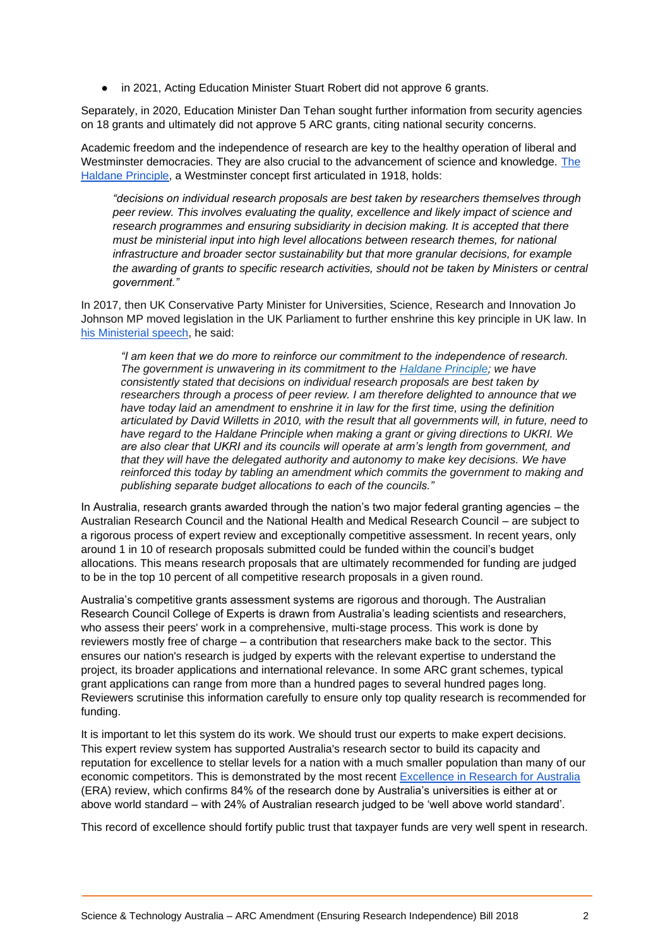● in 2021, Acting Education Minister Stuart Robert did not approve 6 grants.

Separately, in 2020, Education Minister Dan Tehan sought further information from security agencies on 18 grants and ultimately did not approve 5 ARC grants, citing national security concerns.

Academic freedom and the independence of research are key to the healthy operation of liberal and Westminster democracies. They are also crucial to the advancement of science and knowledge. [The](https://assets.publishing.service.gov.uk/government/uploads/system/uploads/attachment_data/file/559210/Higher_Education_and_Research_Bill-UKRI_Vision_Factsheet.pdf#page5)  [Haldane Principle,](https://assets.publishing.service.gov.uk/government/uploads/system/uploads/attachment_data/file/559210/Higher_Education_and_Research_Bill-UKRI_Vision_Factsheet.pdf#page5) a Westminster concept first articulated in 1918, holds:

*"decisions on individual research proposals are best taken by researchers themselves through peer review. This involves evaluating the quality, excellence and likely impact of science and research programmes and ensuring subsidiarity in decision making. It is accepted that there must be ministerial input into high level allocations between research themes, for national infrastructure and broader sector sustainability but that more granular decisions, for example the awarding of grants to specific research activities, should not be taken by Ministers or central government."*

In 2017, then UK Conservative Party Minister for Universities, Science, Research and Innovation Jo Johnson MP moved legislation in the UK Parliament to further enshrine this key principle in UK law. In [his Ministerial speech,](https://www.gov.uk/government/speeches/jo-johnson-higher-education-and-research-bill) he said:

*"I am keen that we do more to reinforce our commitment to the independence of research. The government is unwavering in its commitment to the [Haldane Principle;](https://en.wikipedia.org/wiki/Haldane_principle) we have consistently stated that decisions on individual research proposals are best taken by researchers through a process of peer review. I am therefore delighted to announce that we have today laid an amendment to enshrine it in law for the first time, using the definition articulated by David Willetts in 2010, with the result that all governments will, in future, need to have regard to the Haldane Principle when making a grant or giving directions to UKRI. We are also clear that UKRI and its councils will operate at arm's length from government, and that they will have the delegated authority and autonomy to make key decisions. We have reinforced this today by tabling an amendment which commits the government to making and publishing separate budget allocations to each of the councils."*

In Australia, research grants awarded through the nation's two major federal granting agencies – the Australian Research Council and the National Health and Medical Research Council – are subject to a rigorous process of expert review and exceptionally competitive assessment. In recent years, only around 1 in 10 of research proposals submitted could be funded within the council's budget allocations. This means research proposals that are ultimately recommended for funding are judged to be in the top 10 percent of all competitive research proposals in a given round.

Australia's competitive grants assessment systems are rigorous and thorough. The Australian Research Council College of Experts is drawn from Australia's leading scientists and researchers, who assess their peers' work in a comprehensive, multi-stage process. This work is done by reviewers mostly free of charge – a contribution that researchers make back to the sector. This ensures our nation's research is judged by experts with the relevant expertise to understand the project, its broader applications and international relevance. In some ARC grant schemes, typical grant applications can range from more than a hundred pages to several hundred pages long. Reviewers scrutinise this information carefully to ensure only top quality research is recommended for funding.

It is important to let this system do its work. We should trust our experts to make expert decisions. This expert review system has supported Australia's research sector to build its capacity and reputation for excellence to stellar levels for a nation with a much smaller population than many of our economic competitors. This is demonstrated by the most recent [Excellence in Research for Australia](https://dataportal.arc.gov.au/ERA/NationalReport/2018/pages/section1/research-quality/) (ERA) review, which confirms 84% of the research done by Australia's universities is either at or above world standard – with 24% of Australian research judged to be 'well above world standard'.

This record of excellence should fortify public trust that taxpayer funds are very well spent in research.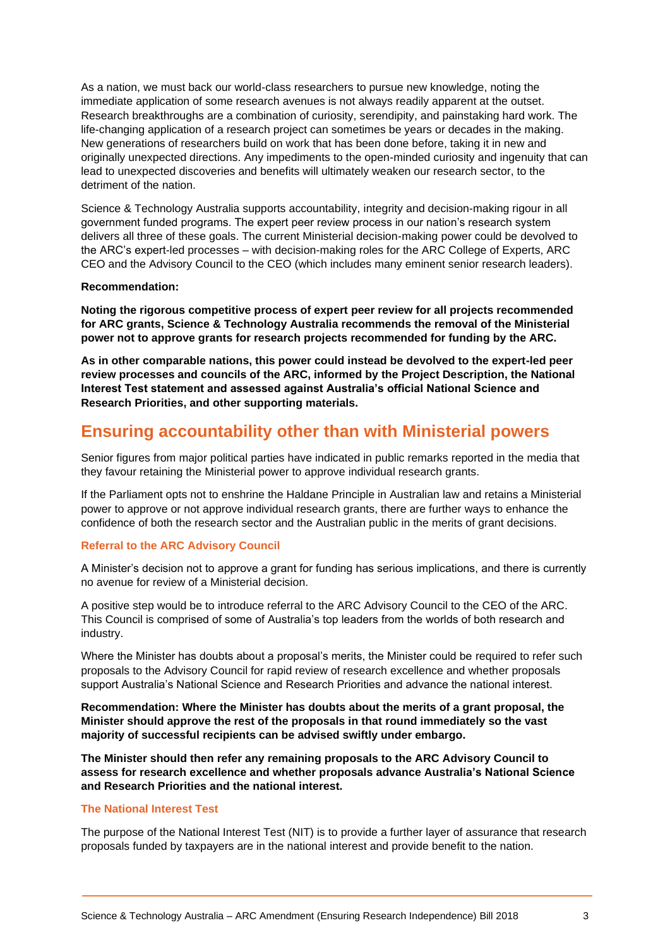As a nation, we must back our world-class researchers to pursue new knowledge, noting the immediate application of some research avenues is not always readily apparent at the outset. Research breakthroughs are a combination of curiosity, serendipity, and painstaking hard work. The life-changing application of a research project can sometimes be years or decades in the making. New generations of researchers build on work that has been done before, taking it in new and originally unexpected directions. Any impediments to the open-minded curiosity and ingenuity that can lead to unexpected discoveries and benefits will ultimately weaken our research sector, to the detriment of the nation.

Science & Technology Australia supports accountability, integrity and decision-making rigour in all government funded programs. The expert peer review process in our nation's research system delivers all three of these goals. The current Ministerial decision-making power could be devolved to the ARC's expert-led processes – with decision-making roles for the ARC College of Experts, ARC CEO and the Advisory Council to the CEO (which includes many eminent senior research leaders).

#### **Recommendation:**

**Noting the rigorous competitive process of expert peer review for all projects recommended for ARC grants, Science & Technology Australia recommends the removal of the Ministerial power not to approve grants for research projects recommended for funding by the ARC.** 

**As in other comparable nations, this power could instead be devolved to the expert-led peer review processes and councils of the ARC, informed by the Project Description, the National Interest Test statement and assessed against Australia's official National Science and Research Priorities, and other supporting materials.**

# **Ensuring accountability other than with Ministerial powers**

Senior figures from major political parties have indicated in public remarks reported in the media that they favour retaining the Ministerial power to approve individual research grants.

If the Parliament opts not to enshrine the Haldane Principle in Australian law and retains a Ministerial power to approve or not approve individual research grants, there are further ways to enhance the confidence of both the research sector and the Australian public in the merits of grant decisions.

## **Referral to the ARC Advisory Council**

A Minister's decision not to approve a grant for funding has serious implications, and there is currently no avenue for review of a Ministerial decision.

A positive step would be to introduce referral to the ARC Advisory Council to the CEO of the ARC. This Council is comprised of some of Australia's top leaders from the worlds of both research and industry.

Where the Minister has doubts about a proposal's merits, the Minister could be required to refer such proposals to the Advisory Council for rapid review of research excellence and whether proposals support Australia's National Science and Research Priorities and advance the national interest.

**Recommendation: Where the Minister has doubts about the merits of a grant proposal, the Minister should approve the rest of the proposals in that round immediately so the vast majority of successful recipients can be advised swiftly under embargo.**

**The Minister should then refer any remaining proposals to the ARC Advisory Council to assess for research excellence and whether proposals advance Australia's National Science and Research Priorities and the national interest.** 

# **The National Interest Test**

The purpose of the National Interest Test (NIT) is to provide a further layer of assurance that research proposals funded by taxpayers are in the national interest and provide benefit to the nation.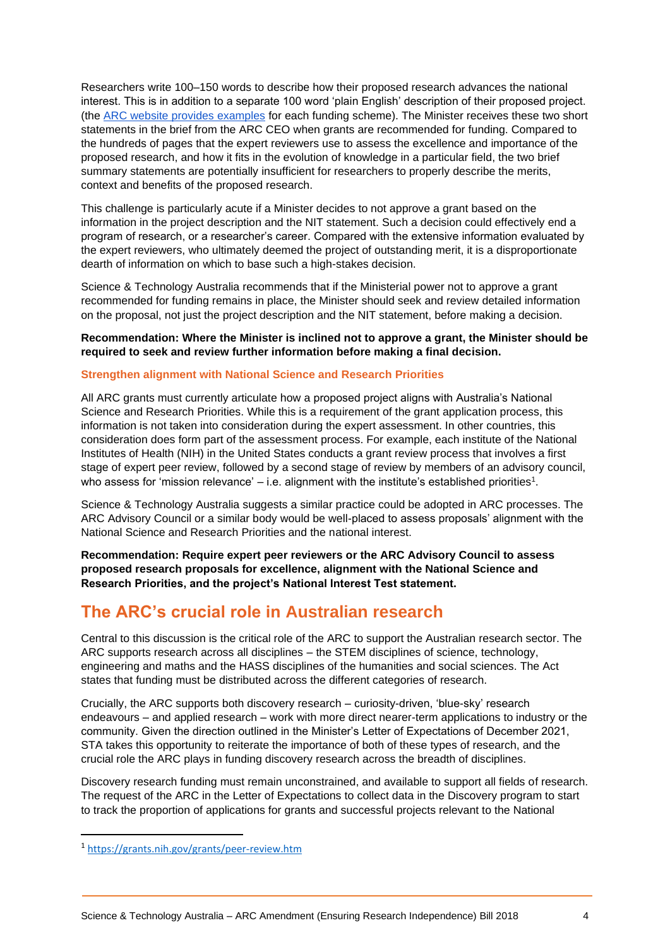Researchers write 100–150 words to describe how their proposed research advances the national interest. This is in addition to a separate 100 word 'plain English' description of their proposed project. (the [ARC website provides examples](https://www.arc.gov.au/national-interest-test-statements) for each funding scheme). The Minister receives these two short statements in the brief from the ARC CEO when grants are recommended for funding. Compared to the hundreds of pages that the expert reviewers use to assess the excellence and importance of the proposed research, and how it fits in the evolution of knowledge in a particular field, the two brief summary statements are potentially insufficient for researchers to properly describe the merits, context and benefits of the proposed research.

This challenge is particularly acute if a Minister decides to not approve a grant based on the information in the project description and the NIT statement. Such a decision could effectively end a program of research, or a researcher's career. Compared with the extensive information evaluated by the expert reviewers, who ultimately deemed the project of outstanding merit, it is a disproportionate dearth of information on which to base such a high-stakes decision.

Science & Technology Australia recommends that if the Ministerial power not to approve a grant recommended for funding remains in place, the Minister should seek and review detailed information on the proposal, not just the project description and the NIT statement, before making a decision.

## **Recommendation: Where the Minister is inclined not to approve a grant, the Minister should be required to seek and review further information before making a final decision.**

## **Strengthen alignment with National Science and Research Priorities**

All ARC grants must currently articulate how a proposed project aligns with Australia's National Science and Research Priorities. While this is a requirement of the grant application process, this information is not taken into consideration during the expert assessment. In other countries, this consideration does form part of the assessment process. For example, each institute of the National Institutes of Health (NIH) in the United States conducts a grant review process that involves a first stage of expert peer review, followed by a second stage of review by members of an advisory council, who assess for 'mission relevance'  $-$  i.e. alignment with the institute's established priorities<sup>1</sup>.

Science & Technology Australia suggests a similar practice could be adopted in ARC processes. The ARC Advisory Council or a similar body would be well-placed to assess proposals' alignment with the National Science and Research Priorities and the national interest.

**Recommendation: Require expert peer reviewers or the ARC Advisory Council to assess proposed research proposals for excellence, alignment with the National Science and Research Priorities, and the project's National Interest Test statement.**

# **The ARC's crucial role in Australian research**

Central to this discussion is the critical role of the ARC to support the Australian research sector. The ARC supports research across all disciplines – the STEM disciplines of science, technology, engineering and maths and the HASS disciplines of the humanities and social sciences. The Act states that funding must be distributed across the different categories of research.

Crucially, the ARC supports both discovery research – curiosity-driven, 'blue-sky' research endeavours – and applied research – work with more direct nearer-term applications to industry or the community. Given the direction outlined in the Minister's Letter of Expectations of December 2021, STA takes this opportunity to reiterate the importance of both of these types of research, and the crucial role the ARC plays in funding discovery research across the breadth of disciplines.

Discovery research funding must remain unconstrained, and available to support all fields of research. The request of the ARC in the Letter of Expectations to collect data in the Discovery program to start to track the proportion of applications for grants and successful projects relevant to the National

<sup>1</sup> <https://grants.nih.gov/grants/peer-review.htm>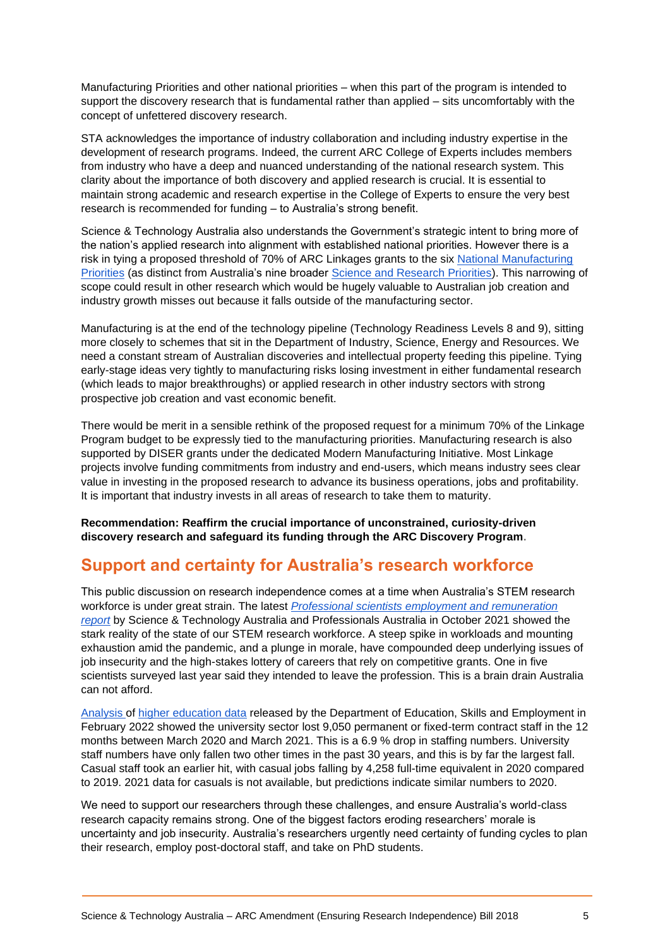Manufacturing Priorities and other national priorities – when this part of the program is intended to support the discovery research that is fundamental rather than applied – sits uncomfortably with the concept of unfettered discovery research.

STA acknowledges the importance of industry collaboration and including industry expertise in the development of research programs. Indeed, the current ARC College of Experts includes members from industry who have a deep and nuanced understanding of the national research system. This clarity about the importance of both discovery and applied research is crucial. It is essential to maintain strong academic and research expertise in the College of Experts to ensure the very best research is recommended for funding – to Australia's strong benefit.

Science & Technology Australia also understands the Government's strategic intent to bring more of the nation's applied research into alignment with established national priorities. However there is a risk in tying a proposed threshold of 70% of ARC Linkages grants to the six [National Manufacturing](https://www.chpaustralia.com.au/Tenant/C0000022/Documents/Modern%20Manufacturing%20Strategy%20Factsheets/National%20Manufacturing%20Priority%20Sectors%20Factsheet.pdf)  [Priorities](https://www.chpaustralia.com.au/Tenant/C0000022/Documents/Modern%20Manufacturing%20Strategy%20Factsheets/National%20Manufacturing%20Priority%20Sectors%20Factsheet.pdf) (as distinct from Australia's nine broader [Science and Research Priorities\)](https://www.industry.gov.au/data-and-publications/science-and-research-priorities). This narrowing of scope could result in other research which would be hugely valuable to Australian job creation and industry growth misses out because it falls outside of the manufacturing sector.

Manufacturing is at the end of the technology pipeline (Technology Readiness Levels 8 and 9), sitting more closely to schemes that sit in the Department of Industry, Science, Energy and Resources. We need a constant stream of Australian discoveries and intellectual property feeding this pipeline. Tying early-stage ideas very tightly to manufacturing risks losing investment in either fundamental research (which leads to major breakthroughs) or applied research in other industry sectors with strong prospective job creation and vast economic benefit.

There would be merit in a sensible rethink of the proposed request for a minimum 70% of the Linkage Program budget to be expressly tied to the manufacturing priorities. Manufacturing research is also supported by DISER grants under the dedicated Modern Manufacturing Initiative. Most Linkage projects involve funding commitments from industry and end-users, which means industry sees clear value in investing in the proposed research to advance its business operations, jobs and profitability. It is important that industry invests in all areas of research to take them to maturity.

**Recommendation: Reaffirm the crucial importance of unconstrained, curiosity-driven discovery research and safeguard its funding through the ARC Discovery Program.** 

# **Support and certainty for Australia's research workforce**

This public discussion on research independence comes at a time when Australia's STEM research workforce is under great strain. The latest *[Professional scientists employment and remuneration](https://apesma.informz.net/apesma/data/images/2021-22%20Scientists%20Employment%20and%20Remuneration%20Report.pdf)  [report](https://apesma.informz.net/apesma/data/images/2021-22%20Scientists%20Employment%20and%20Remuneration%20Report.pdf)* by Science & Technology Australia and Professionals Australia in October 2021 showed the stark reality of the state of our STEM research workforce. A steep spike in workloads and mounting exhaustion amid the pandemic, and a plunge in morale, have compounded deep underlying issues of job insecurity and the high-stakes lottery of careers that rely on competitive grants. One in five scientists surveyed last year said they intended to leave the profession. This is a brain drain Australia can not afford.

[Analysis o](https://andrewnorton.net.au/2022/02/10/university-job-losses-in-the-first-year-of-covid-19/)f [higher education data](https://www.dese.gov.au/higher-education-statistics/staff-data/selected-higher-education-statistics-2021-staff-data) released by the Department of Education, Skills and Employment in February 2022 showed the university sector lost 9,050 permanent or fixed-term contract staff in the 12 months between March 2020 and March 2021. This is a 6.9 % drop in staffing numbers. University staff numbers have only fallen two other times in the past 30 years, and this is by far the largest fall. Casual staff took an earlier hit, with casual jobs falling by 4,258 full-time equivalent in 2020 compared to 2019. 2021 data for casuals is not available, but predictions indicate similar numbers to 2020.

We need to support our researchers through these challenges, and ensure Australia's world-class research capacity remains strong. One of the biggest factors eroding researchers' morale is uncertainty and job insecurity. Australia's researchers urgently need certainty of funding cycles to plan their research, employ post-doctoral staff, and take on PhD students.